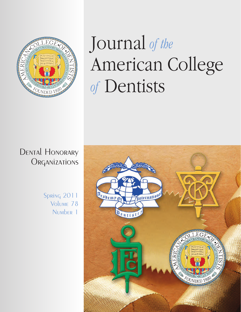

# Journal *of the*<br>American College  $\alpha$  Conticts *of* Dentists

# Dental Honorary **ORGANIZATIONS**

Spring 2011 Volume 78 Number 1

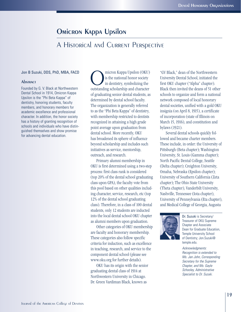# Omicron Kappa Upsilon

# A Historical and Current Perspective

#### Jon B Suzuki, DDS, PhD, MBA, FACD

#### **Abstract**

Founded by G. V. Black at Northwestern Dental School in 1914, Omicron Kappa Upsilon is the "Phi Beta Kappa" of dentistry, honoring students, faculty members, and honorary members for academic excellence and professional character. In addition, the honor society has a history of granting recognition of schools and individuals who have distinguished themselves and show promise for advancing dental education.

micron Kappa Upsilon (OKU)<br>is the national honor society<br>in dentistry, symbolizing the<br>outstanding scholarship and character is the national honor society in dentistry, symbolizing the outstanding scholarship and character of graduating senior dental students, as determined by dental school faculty. The organization is generally referred to as the "Phi Beta Kappa" of dentistry, with membership restricted to dentists recognized in attaining a high grade point average upon graduation from dental school. More recently, OKU has broadened its sphere of influence beyond scholarship and includes such initiatives as service, mentorship, outreach, and research.

Primary alumni membership in OKU is first determined using a two-step process: first class rank is considered (top 20% of the dental school graduating class upon GPA), the faculty vote from this pool based on other qualities including character, service, research, etc (top 12% of the dental school graduating class). Therefore, in a class of 100 dental students, only 12 students are inducted into the local dental school OKU chapter as alumni members upon graduation.

Other categories of OKU membership are faculty and honorary membership. These categories also follow specific criteria for induction, such as excellence in teaching, research, and service to the component dental school (please see www.oku.org for further details).

OKU has its origin with the senior graduating dental class of 1914 at Northwestern University in Chicago. Dr. Green Vardiman Black, known as

"GV Black," dean of the Northwestern University Dental School, initiated the first OKU chapter ("Alpha" chapter). Black then invited the deans of 51 other schools to organize and form a national network composed of local honorary dental societies, unified with a gold OKU insignia (on April 8, 1915), a certificate of incorporation (state of Illinois on March 15, 1916), and constitution and bylaws (1921).

Several dental schools quickly followed and became charter members. These include, in order: the University of Pittsburgh (Beta chapter); Washington University, St. Louis (Gamma chapter); North Pacific Dental College, Seattle (Delta chapter); Creighton University, Omaha, Nebraska (Epsilon chapter); University of Southern California (Zeta chapter); The Ohio State University (Theta chapter), Vanderbilt University, Nashville, Tennessee (Iota chapter), University of Pennsylvania (Eta chapter), and Medical College of Georgia, Augusta



Dr. Suzuki is Secretary/ Treasurer of OKU Supreme Chapter and Associate Dean for Graduate Education, Temple University School of Dentistry; Jon.Suzuki@ temple.edu.

Acknowledgments: Recognition is extended to Ms. Jan John, Corresponding Secretary for the Supreme Chapter, and Ms. Gayle Schooley, Administrative Specialist to Dr. Suzuki.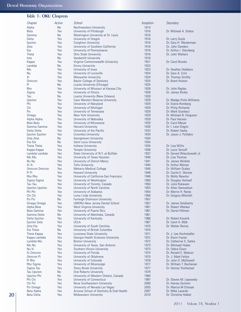## Table 1: OKU Chapters

| Chapter                | Active    | School                                    | Inception | Secretary                  |
|------------------------|-----------|-------------------------------------------|-----------|----------------------------|
| Alpha                  | <b>No</b> | Northwestern University                   | 1914      |                            |
| <b>Beta</b>            | Yes       | University of Pittsburgh                  | 1916      | Dr. Michael A. Dobos       |
| Gamma                  | <b>No</b> | Washington University at St. Louis        | 1916      |                            |
| Delta                  | Yes       | University of Oregon                      | 1916      | Dr. Larry Doyle            |
| Epsilon                | Yes       | <b>Creighton University</b>               | 1916      | Dr. Gary H. Westerman      |
| Zeta                   | Yes       | University of Southern California         | 1916      | Dr. John Sanders           |
| Eta                    | Yes       | University of Pennsylvania                | 1916      | Dr. Arthur I. Steinberg    |
| <b>Theta</b>           | Yes       | <b>Ohio State University</b>              | 1916      | Dr. John Walters           |
| lota                   | <b>No</b> | <b>Vanderbilt University</b>              | 1916      |                            |
| Kappa                  | Yes       | Virginia Commonwealth University          | 1921      | Dr. Carol Brooks           |
| Lambda                 | <b>No</b> | <b>Emory University</b>                   | 1923      |                            |
| Mu                     | Yes       | University of lowa                        | 1923      | Dr. Heather Heddens        |
| Nu                     | Yes       | University of Louisville                  | 1924      | Dr. Gary A. Crim           |
| Xi                     | Yes       | <b>Marquette University</b>               | 1924      | Dr. Thomas Smithy          |
| <b>Omicron</b>         | Yes       | <b>Baylor College of Dentistry</b>        | 1925      | Dr. Brent Hutson           |
| Pi                     | <b>No</b> | Loyola University (Chicago)               | 1925      |                            |
| Rho                    | Yes       | University of Missouri at Kansas City     | 1928      | Dr. John Rapley            |
| Sigma                  | Yes       | University of Illinois                    | 1928      | Dr. James Ricker           |
| Tau                    |           |                                           |           |                            |
|                        | <b>No</b> | Loyola University (New Orleans)           | 1928      |                            |
| Upsilon                | Yes       | <b>Case Western Reserve University</b>    | 1929      | Dr. Madge Potts-Williams   |
| Phi                    | Yes       | University of Maryland                    | 1929      | Dr. Elaine Romberg         |
| Chi                    | Yes       | University of Michigan                    | 1929      | Dr. Philip Richards        |
| Psi                    | Yes       | University of Tennessee                   | 1929      | Dr. Mark Scarbecz          |
| Omega                  | Yes       | <b>New York University</b>                | 1929      | Dr. Michael B. Ferguson    |
| Alpha Alpha            | Yes       | University of Nebraska                    | 1929      | Dr. Paul Hansen            |
| <b>Beta Beta</b>       | Yes       | University of Minnesota                   | 1929      | Dr. Carol Meyer            |
| Gamma Gamma            | Yes       | <b>Harvard University</b>                 | 1930      | Dr. I. Leon Dogon          |
| Delta Delta            | Yes       | University of the Pacific                 | 1933      | Dr. Robert Sarka           |
| <b>Epsilon Epsilon</b> | Yes       | <b>Columbia University</b>                | 1934      | Dr. Jason J. Psillakis     |
| Zeta Zeta              | No        | Georgetown University                     | 1934      |                            |
| Eta Eta                | <b>No</b> | <b>Saint Louis University</b>             | 1934      |                            |
| Theta Theta            | Yes       | <b>Indiana University</b>                 | 1934      | Dr. Lisa Willis            |
| Kappa Kappa            | Yes       | <b>Temple University</b>                  | 1936      | Dr. Louis Tarnoff          |
| Lambda Lambda          | Yes       | State University of N.Y. at Buffalo       | 1937      | Dr. Gerard Wieczkowski Jr. |
| Mu Mu                  | Yes       | University of Texas Houston               | 1940      | Dr. Lisa Thomas            |
|                        |           |                                           |           |                            |
| Nu Nu                  | Yes       | University of Detroit Mercy               | 1941      | Dr. James Winkler          |
| Xi Xi                  | Yes       | <b>Tufts University</b>                   | 1944      | Dr. Arthur Weiner          |
| <b>Omicron Omicron</b> | Yes       | <b>Meharry Medical College</b>            | 1945      | Dr. William Scales         |
| Pi Pi                  | Yes       | <b>Howard University</b>                  | 1948      | Dr. Cecile E. Skinner      |
| Rho Rho                | Yes       | University of California-San Francisco    | 1948      | Dr. Molly Newlon           |
| Sigma Sigma            | Yes       | University of Washington                  | 1950      | Dr. Douglas Verhoef        |
| <b>Tau Tau</b>         | Yes       | University of Toronto, Canada             | 1950      | Dr. Julia Rukavani         |
| <b>Upsilon Upsilon</b> | Yes       | University of North Carolina              | 1953      | Dr. Allen Samuelson        |
| Phi Phi                | Yes       | University of Alabama                     | 1954      | Dr. Merrie H. Ramp         |
| Chi Chi                | Yes       | Loma Linda University                     | 1956      | Dr. Gregory Mitchell       |
| Psi Psi                | No.       | <b>Fairleigh Dickinson University</b>     | 1957      |                            |
| Omega Omega            | Yes       | <b>UMDNJ-New Jersey Dental School</b>     | 1957      | Dr. James Delahanty        |
| Alpha Beta             | Yes       | <b>West Virginia University</b>           | 1961      | Dr. Robert Wanker          |
| Beta Gamma             | Yes       | University of Puerto Rico                 | 1961      | Dr. Darrel Hillman         |
| Gamma Delta            | <b>No</b> | University of Manitoba, Canada            | 1961      |                            |
| <b>Delta Epsilon</b>   | Yes       | University of Kentucky                    | 1966      | Dr. Robert Kovarik         |
| <b>Epsilon Zeta</b>    | Yes       | <b>UCLA</b>                               | 1967      | Dr. Carol A. Bibb          |
| Zeta Eta               | Yes       | University of South Carolina              | 1970      | Dr. Walter Renne           |
| Eta Theta              | <b>No</b> | University of British Colombia            | 1970      |                            |
| Theta Kappa            | Yes       | Louisiana State University                | 1971      | Dr. J. Lee Hochstedler     |
| Kappa Lambda           | Yes       | Georgia Health Sciences University        | 1972      | Dr. Kevin Frazier          |
|                        |           |                                           |           |                            |
| Lambda Mu              | Yes       | <b>Boston University</b>                  | 1972      | Dr. Catherine S. Sarkis    |
| Mu Nu                  | Yes       | University of Texas, San Antonio          | 1973      | Dr. Michaell Huber         |
| Nu Xi                  | Yes       | Southern Illinois University              | 1973      | Dr. Debra Dixon            |
| Xi Omicron             | Yes       | University of Florida                     | 1974      | Dr. Ronald E. Watson       |
| <b>Omicron Pi</b>      | Yes       | University of Oklahoma                    | 1975      | Dr. J. Mark Felton         |
| Pi Rho                 | Yes       | University of Colorado                    | 1976      | Dr. John D. McDowell       |
| <b>Rho Sigma</b>       | Yes       | University of Mississippi                 | 1977      | Dr. William T. Buchanan    |
| Sigma Tau              | Yes       | <b>Stony Brook University</b>             | 1977      | Dr. Denise Trochesset      |
| <b>Tau Upsilon</b>     | <b>No</b> | <b>Oral Roberts University</b>            | 1979      |                            |
| <b>Upsilon Phi</b>     | <b>No</b> | University of Western Ontario, Canada     | 1984      |                            |
| Phi Chi                | Yes       | University of Connecticut                 | 1997      | Dr. Steven M. Lepowsky     |
| Chi Psi                | Yes       | Nova Southeastern University              | 2000      | Dr. Harvey Quinton         |
| Psi Omega              | Yes       | University of Nevada Las Vegas            | 2003      | Dr. Marcia M Ditmyer       |
| <b>Beta Alpha</b>      | Yes       | Arizona School of Dentistry & Oral Health | 2007      | Dr. Mike Lazarski          |
| <b>Beta Delta</b>      | Yes       | <b>Midwestern University</b>              | 2010      | Dr. Christine Halket       |
|                        |           |                                           |           |                            |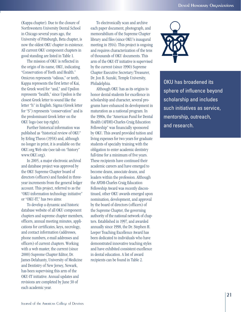(Kappa chapter). Due to the closure of Northwestern University Dental School in Chicago several years ago, the University of Pittsburgh, Beta chapter, is now the oldest OKU chapter in existence. All current OKU component chapters in good standing are listed in Table 1.

The mission of OKU is reflected in the origin of its name, OKU, indicating "Conservation of Teeth and Health." Omicron represents "odious," or teeth, Kappa represents the first letter of Kai, the Greek word for "and," and Upsilon represents "health," since Upsilon is the closest Greek letter to sound like the letter "h" in English. Sigma (Greek letter for "S") represents "conservation" and is the predominant Greek letter on the OKU logo (see top right).

Further historical information was published as "historical review of OKU" by Erling Theon (1958) and, although no longer in print, it is available on the OKU.org Web site (see tab on "history" www.OKU.org).

In 2005, a major electronic archival and database project was approved by the OKU Supreme Chapter board of directors (officers) and funded in threeyear increments from the general ledger account. This project, referred to as the "OKU-information technology initiative" or "OKU-IT," has two aims:

To develop a dynamic and historic database website of all OKU component chapters and supreme chapter members, officers, annual meeting minutes, applications for certificates, keys, necrology, and contact information (addresses, phone numbers, e-mail addresses and officers) of current chapters. Working with a web master, the current (since 2000) Supreme Chapter Editor, Dr. James Delahanty, University of Medicine and Dentistry of New Jersey, Newark, has been supervising this arm of the OKU-IT initiative. Annual updates and revisions are completed by June 30 of each academic year.

To electronically scan and archive each paper document, photograph, and memorabilium of the Supreme Chapter library and files (since OKU's inaugural meeting in 1914). This project is ongoing and requires characterization of the tens of thousands of OKU documents. This arm of the OKU-IT initiative is supervised by the current (since 1990) Supreme Chapter Executive Secretary/Treasurer, Dr. Jon B. Suzuki, Temple University, Philadelphia.

Although OKU has as its origins to honor dental students for excellence in scholarship and character, several programs have enhanced its development in maturation as a national program. In the 1980s, the "American Fund for Dental Health (AFDH)-Charles Craig Education Fellowship" was financially sponsored by OKU. This award provided tuition and living expenses for two years for graduate students of specialty training with the obligation to enter academic dentistry full-time for a minimum of five years. These recipients have continued their academic careers and have emerged to become deans, associate deans, and leaders within the profession. Although the AFDH-Charles Craig Education Fellowship Award was recently discontinued, other OKU awards emerged upon nomination, development, and approval by the board of directors (officers) of the Supreme Chapter, the governing authority of the national network of chapters. Established in 1997, and awarded annually since 1998, the Dr. Stephen H. Leeper Teaching Excellence Award has been dedicated to individuals who have demonstrated innovative teaching styles and have exhibited consistent excellence in dental education. A list of award recipients can be found in Table 2.



OKU has broadened its sphere of influence beyond scholarship and includes such initiatives as service, mentorship, outreach, and research.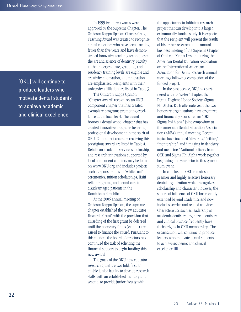[OKU] will continue to produce leaders who motivate dental students to achieve academic and clinical excellence.

In 1999 two new awards were approved by the Supreme Chapter. The Omicron Kappa Upsilon-Charles Craig Teaching Award was created to recognize dental educators who have been teaching fewer than five years and have demonstrated innovative teaching techniques in the art and science of dentistry. Faculty at the undergraduate, graduate, and residency training levels are eligible and creativity, motivation, and innovation are emphasized. Recipients with their university affiliation are listed in Table 3.

The Omicron Kappa Upsilon "Chapter Award" recognizes an OKU component chapter that has created exemplary programs promoting excellence at the local level. The award honors a dental school chapter that has created innovative programs fostering professional development in the spirit of OKU. Component chapters receiving this prestigious award are listed in Table 4. Details on academic service, scholarship, and research innovations supported by local component chapters may be found on www.OKU.org and includes projects such as sponsorships of "white coat" ceremonies, tuition scholarships, Haiti relief programs, and dental care to disadvantaged patients in the Dominican Republic.

At the 2005 annual meeting of Omicron Kappa Upsilon, the supreme chapter established the "New Educator Research Grant" with the provision that awarding of the first grant be deferred until the necessary funds (capital) are raised to finance the award. Pursuant to this motion, the board of directors has continued the task of soliciting the financial support to begin funding this new award.

The goals of the OKU new educator research grant are two-fold: first, to enable junior faculty to develop research skills with an established mentor; and, second, to provide junior faculty with

the opportunity to initiate a research project that can develop into a larger, extramurally funded study. It is expected that the recipient will present the results of his or her research at the annual business meeting of the Supreme Chapter of Omicron Kappa Upsilon during the American Dental Education Association or the International-American Association for Dental Research annual meetings following completion of the funded project.

In the past decade, OKU has partnered with its "sister" chapter, the Dental Hygiene Honor Society, Sigma Phi Alpha. Each alternate year, the two honorary organizations have organized and financially sponsored an "OKU-Sigma Phi Alpha" joint symposium at the American Dental Education Association (ADEA) annual meeting. Recent topics have included "diversity," "ethics," "mentorship," and "imaging in dentistry and medicine." National officers from OKU and Sigma Phi Alpha work together beginning one year prior to this symposium event.

In conclusion, OKU remains a premier and highly selective honorary dental organization which recognizes scholarship and character. However, the sphere of influence of OKU has recently extended beyond academics and now includes service and related activities. Characteristics such as leadership in academic dentistry, organized dentistry, and clinical practice frequently have their origins in OKU membership. The organization will continue to produce leaders who motivate dental students to achieve academic and clinical excellence. ■